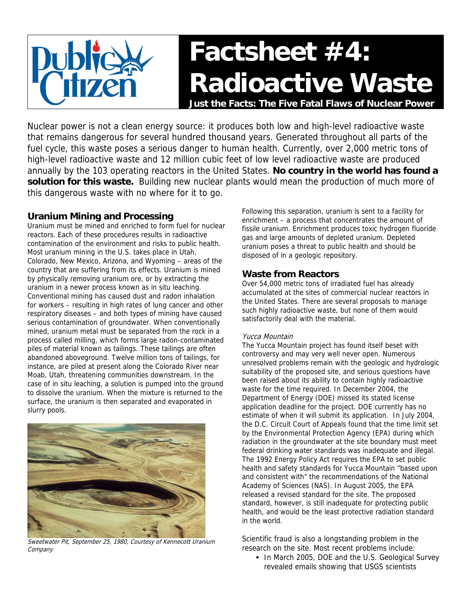

Nuclear power is not a clean energy source: it produces both low and high-level radioactive waste that remains dangerous for several hundred thousand years. Generated throughout all parts of the fuel cycle, this waste poses a serious danger to human health. Currently, over 2,000 metric tons of high-level radioactive waste and 12 million cubic feet of low level radioactive waste are produced annually by the 103 operating reactors in the United States[.](#page-1-0) **No country in the world has found a solution for this waste.** Building new nuclear plants would mean the production of much more of this dangerous waste with no where for it to go.

# **Uranium Mining and Processing**

Uranium must be mined and enriched to form fuel for nuclear reactors. Each of these procedures results in radioactive contamination of the environment and risks to public health. Most uranium mining in the U.S. takes place in Utah, Colorado, New Mexico, Arizona, and Wyoming – areas of the country that are suffering from its effects. Uranium is mined by physically removing uranium ore, or by extracting the uranium in a newer process known as in situ leaching. Conventional mining has caused dust and radon inhalation for workers – resulting in high rates of lung cancer and other respiratory diseases – and both types of mining have caused serious contamination of groundwater. When conventionally mined, uranium metal must be separated from the rock in a process called milling, which forms large radon-contaminated piles of material known as tailings. [T](#page-1-0)hese tailings are often abandoned aboveground. Twelve million tons of tailings, for instance, are piled at present along the Colorado River near Moab, Utah, threatening communities downstream. In the case of in situ leaching, a solution is pumped into the ground to dissolve the uranium. When the mixture is returned to the surface, the uranium is then separated and evaporated in slurry pools.



Sweetwater Pit, September 25, 1980, Courtesy of Kennecott Uranium **Company** 

Following this separation, uranium is sent to a facility for enrichment – a process that concentrates the amount of fissile uranium. Enrichment produces toxic hydrogen fluoride gas and large amounts of depleted uranium. Depleted uranium poses a threat to public health and should be disposed of in a geologic repository.

# **Waste from Reactors**

Over 54,000 metric tons of irradiated fuel has already accumulated at the sites of commercial nuclear reactors in the United States. There are several proposals to manage such highly radioactive waste, but none of them would satisfactorily deal with the material.

### Yucca Mountain

The Yucca Mountain project has found itself beset with controversy and may very well never open. Numerous unresolved problems remain with the geologic and hydrologic suitability of the proposed site, and serious questions have been raised about its ability to contain highly radioactive waste for the time required. In December 2004, the Department of Energy (DOE) missed its stated license application deadline for the project. DOE currently has no estimate of when it will submit its application. In July 2004, the D.C. Circuit Court of Appeals found that the time limit set by the Environmental Protection Agency (EPA) during which radiation in the groundwater at the site boundary must meet federal drinking water standards was inadequate and illegal. The 1992 Energy Policy Act requires the EPA to set public health and safety standards for Yucca Mountain "based upon and consistent with" the recommendations of the National Academy of Sciences (NAS). In August 2005, the EPA released a revised standard for the site. The proposed standard, however, is still inadequate for protecting public health, and would be the least protective radiation standard in the world.

Scientific fraud is also a longstanding problem in the research on the site[. M](#page-1-0)ost recent problems include:

In March 2005, DOE and the U.S. Geological Survey revealed emails showing that USGS scientists